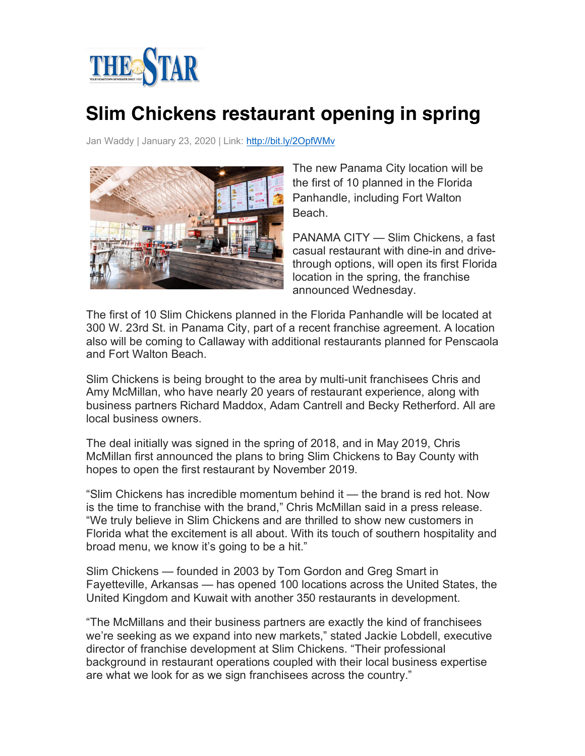

## **Slim Chickens restaurant opening in spring**

Jan Waddy | January 23, 2020 | Link: http://bit.ly/2OpfWMv



The new Panama City location will be the first of 10 planned in the Florida Panhandle, including Fort Walton Beach.

PANAMA CITY — Slim Chickens, a fast casual restaurant with dine-in and drivethrough options, will open its first Florida location in the spring, the franchise announced Wednesday.

The first of 10 Slim Chickens planned in the Florida Panhandle will be located at 300 W. 23rd St. in Panama City, part of a recent franchise agreement. A location also will be coming to Callaway with additional restaurants planned for Penscaola and Fort Walton Beach.

Slim Chickens is being brought to the area by multi-unit franchisees Chris and Amy McMillan, who have nearly 20 years of restaurant experience, along with business partners Richard Maddox, Adam Cantrell and Becky Retherford. All are local business owners.

The deal initially was signed in the spring of 2018, and in May 2019, Chris McMillan first announced the plans to bring Slim Chickens to Bay County with hopes to open the first restaurant by November 2019.

"Slim Chickens has incredible momentum behind it — the brand is red hot. Now is the time to franchise with the brand," Chris McMillan said in a press release. "We truly believe in Slim Chickens and are thrilled to show new customers in Florida what the excitement is all about. With its touch of southern hospitality and broad menu, we know it's going to be a hit."

Slim Chickens — founded in 2003 by Tom Gordon and Greg Smart in Fayetteville, Arkansas — has opened 100 locations across the United States, the United Kingdom and Kuwait with another 350 restaurants in development.

"The McMillans and their business partners are exactly the kind of franchisees we're seeking as we expand into new markets," stated Jackie Lobdell, executive director of franchise development at Slim Chickens. "Their professional background in restaurant operations coupled with their local business expertise are what we look for as we sign franchisees across the country."